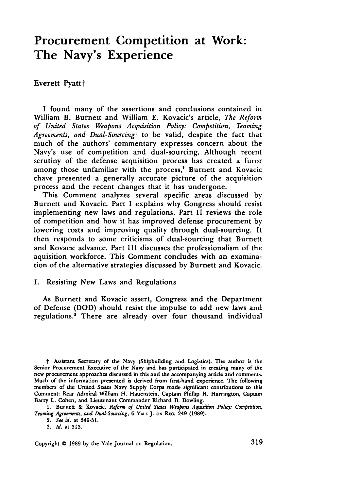# **Procurement Competition at Work: The Navy's Experience**

# Everett Pyattt

I found many of the assertions and conclusions contained in William B. Burnett and William **E.** Kovacic's article, *The Reform of United States Weapons Acquisition Policy: Competition, Teaming Agreements, and Dual-Sourcing'* to be valid, despite the fact that much of the authors' commentary expresses concern about the Navy's use of competition and dual-sourcing. Although recent scrutiny of the defense acquisition process has created a furor among those unfamiliar with the process,<sup>2</sup> Burnett and Kovacic chave presented a generally accurate picture of the acquisition process and the recent changes that it has undergone.

This Comment analyzes several specific areas discussed **by** Burnett and Kovacic. Part I explains why Congress should resist implementing new laws and regulations. Part II reviews the role of competition and how it has improved defense procurement **by** lowering costs and improving quality through dual-sourcing. It then responds to some criticisms of dual-sourcing that Burnett and Kovacic advance. Part III discusses the professionalism of the aquisition workforce. This Comment concludes with an examination of the alternative strategies discussed **by** Burnett and Kovacic.

# **I.** Resisting New Laws and Regulations

As Burnett and Kovacic assert, Congress and the Department of Defense **(DOD)** should resist the impulse to add new laws and regulations.' There are already over four thousand individual

2. *See id.* at 249-51.

*t* Assistant Secretary of the Navy (Shipbuilding and Logistics). **The** author is the Senior Procurement Executive of the Navy and has participated in creating many of the new procurement approaches discussed in this and the accompanying artide and comments. Much of the information presented is derived from first-hand experience. **The** following members of the United States Navy Supply Corps made significant contributions to this Comment: Rear Admiral William H. Hauenstein, Captain Phillip H. Harrington, Captain Barry L. Cohen, and Lieutenant Commander Richard **D.** Dowling.

**<sup>1.</sup>** Burnett **&** Kovacic, *Reform of United States Weapons Aquisition Policy: Competition, Teaming Agreements, and Dual-Sourcing,* **6 YA.E J.** ow **REG.** 249 **(1989).**

**<sup>3.</sup>** *Id.* at **313.**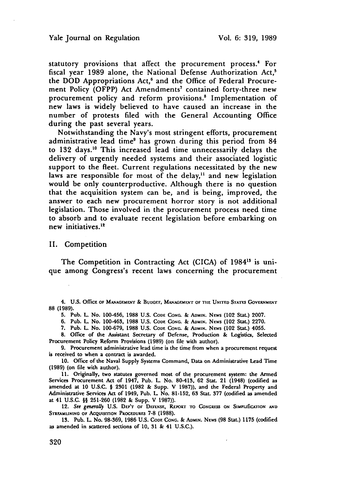statutory provisions that affect the procurement process.' For fiscal year 1989 alone, the National Defense Authorization Act.<sup>5</sup> the DOD Appropriations Act,<sup>6</sup> and the Office of Federal Procurement Policy (OFPP) Act Amendments' contained forty-three new procurement policy and reform provisions.<sup>8</sup> Implementation of new laws is widely believed to have caused an increase in the number of protests filed with the General Accounting Office during the past several years.

Notwithstanding the Navy's most stringent efforts, procurement administrative lead time<sup>9</sup> has grown during this period from 84 to 132 days.<sup>10</sup> This increased lead time unnecessarily delays the delivery of urgently needed systems and their associated logistic support to the fleet. Current regulations necessitated by the new laws are responsible for most of the delay,<sup>11</sup> and new legislation would be only counterproductive. Although there is no question that the acquisition system can be, and is being, improved, the answer to each new procurement horror story is not additional legislation. Those involved in the procurement process need time to absorb and to evaluate recent legislation before embarking on new initiatives.<sup>12</sup>

**II.** Competition

The Competition in Contracting Act (CICA) of 1984<sup>13</sup> is unique among Congress's recent laws concerning the procurement

4. **U.S. OfficE OF** MANAGEME'r & BUDGEr, **MANAGEMENTr OF T11E UNITED STATES GOvERNMENr 88 (1989).**

**5.** Pub. L. No. 100-456, 1988 **U.S. CODE CONG.** & **AoMIN.** NEWS (102 Stat.) **2007.**

**6.** Pub. L. No. 100-463, **1988 U.S.** CODE **CONG.** & **ADMiN. NEWS** (102 Stat.) **2270.**

**7.** Pub. L. No. **100-679, 1988 U.S. CODE** CONG. & **ADmIN.** NEws (102 Stat.) 4055.

**8.** Office of the Assistant Secretary of Defense, Production & Logistics, Selected Procurement Policy Reform Provisions **(1989)** (on file with author).

**9.** Procurement administrative lead time is the time from when a procurement request is received to when a contract is awarded.

**10.** Office of the Naval Supply Systems Command, Data on Administrative Lead Time (1989) (on file with author).

**11.** Originally, two statutes governed most of the procurement system: the Armed Services Procurement Act of 1947, Pub. L. No. 80-413, **62** Stat. 21 (1948) (codified as amended at 10 U.S.C. § 2301 (1982 & Supp. V **1987)),** and the Federal Property and Administrative Services Act of 1949, Pub. L No. **81-152, 63** Stat. **377** (codified as amended at 41 U.S.C. §§ **251-260** (1982 & Supp. V 1987)).

12. See generally U.S. DEP'T OF DEFENSE, REPORT TO CONGRESS ON SIMPLIficATION AND STREAMLINING OF ACQUISTTION PROCEDURES 7-8 (1988).

13. Pub. L. No. 98-369, 1986 U.S. **CODE CONG.** & **ADMIN. NEWS** (98 Stat.) **1175** (codified as amended in scattered sections of **10,** 31 & 41 U.S.C.).

320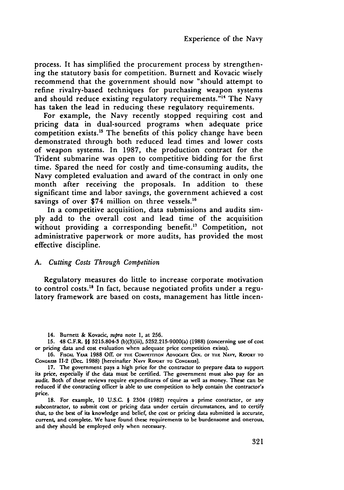process. It has simplified the procurement process by strengthening the statutory basis for competition. Burnett and Kovacic wisely recommend that the government should now "should attempt to refine rivalry-based techniques for purchasing weapon systems and should reduce existing regulatory requirements."<sup>14</sup> The Navy has taken the lead in reducing these regulatory requirements.

For example, the Navy recently stopped requiring cost and pricing data in dual-sourced programs when adequate price competition exists.<sup>15</sup> The benefits of this policy change have been demonstrated through both reduced lead times and lower costs of weapon systems. In 1987, the production contract for the Trident submarine was open to competitive bidding for the first time. Spared the need for costly and time-consuming audits, the Navy completed evaluation and award of the contract in only one month after receiving the proposals. In addition to these significant time and labor savings, the government achieved a cost savings of over \$74 million on three vessels.<sup>16</sup>

In a competitive acquisition, data submissions and audits sim**ply** add to the overall cost and lead time of the acquisition without providing a corresponding benefit.<sup>17</sup> Competition, not administrative paperwork or more audits, has provided the most effective discipline.

#### *A. Cutting Costs Through Competition*

Regulatory measures do little to increase corporate motivation to control costs.18 In fact, because negotiated profits under a regulatory framework are based on costs, management has little incen-

<sup>14.</sup> Burnett & Kovacic, supra note 1, at **256.**

**<sup>15.</sup>** 48 C.F.R. §§ 5215.804-3 (b)(3)(iii), 5252.215-9000(a) (1988) (concerning use of cost or pricing data and cost evaluation when adequate price competition exists).

<sup>16.</sup> FISCAL YEAR 1988 Off. OF THE COMPETTITON ADVOCATE GEN. OF THE NAVY, REPORT TO **CONGRESS II-2 (Dec. 1988) [hereinafter NAVY REPORT TO CONGRESS].** 

<sup>17.</sup> The government pays a high price for the contractor to prepare data to support its price, especially if the data must be certified. The government must also pay for an audit. Both of these reviews require expenditures of time as well as money. These can be reduced if the contracting officer is able to use competition to help contain the contractor's price.

<sup>18.</sup> For example, **10** U.S.C. § 2304 (1982) requires a prime contractor, or any subcontractor, to submit cost or pricing data under certain circumstances, and to certify that, to the best of its knowledge and belief, the cost or pricing data submitted is accurate, current, and complete. We have found these requirements to be burdensome and onerous, and they should **be** employed only when necessary.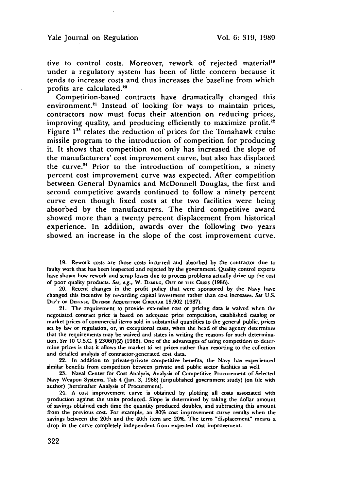tive to control costs. Moreover, rework of rejected material<sup>19</sup> under a regulatory system has been of little concern because it tends to increase costs and thus increases the baseline from which profits are calculated."°

Competition-based contracts have dramatically changed this environment.<sup>21</sup> Instead of looking for ways to maintain prices, contractors now must focus their attention on reducing prices, improving quality, and producing efficiently to maximize profit.<sup>22</sup> Figure 1<sup>23</sup> relates the reduction of prices for the Tomahawk cruise missile program to the introduction of competition for producing it. It shows that competition not only has increased the slope of the manufacturers' cost improvement curve, but also has displaced the curve. $24$  Prior to the introduction of competition, a ninety percent cost improvement curve was expected. After competition between General Dynamics and McDonnell Douglas, the first and second competitive awards continued to follow a ninety percent curve even though fixed costs at the two facilities were being absorbed by the manufacturers. The third competitive award showed more than a twenty percent displacement from historical experience. In addition, awards over the following two years showed an increase in the slope of the cost improvement curve.

**19.** Rework costs are those costs incurred and absorbed **by** the contractor due to faulty work that has been inspected and rejected **by** the government. Quality control experts have shown how rework and scrap losses due to process problems actually drive up the cost of poor quality products. See, e.g., W. DEMING, OUT OF THE CRISIS (1986).

20. Recent changes in the profit policy that were sponsored **by** the Navy have changed this incentive **by** rewarding capital investment rather than cost increases. See **U.S.** DEP'T OF DEFENSE, DEFENSE Acquisition CIRCUIAR 15.902 (1987).

21. The requirement to provide extensive cost or pricing data is waived when the negotiated contract price is based on adequate price competition, established catalog or market prices of commercial items sold in substantial quantities to the general public, prices set by law or regulation, or, in exceptional cases, when the head of the agency determines that the requirements may be waived and states in writing the reasons for such determination. See **10 U.S.C.** § **2306(0(2) (1982).** One of the advantages of using competition to determine prices is that it allows the market **to** set prices rather than resorting to the collection and detailed analysis of contractor-generated cost data.

22. In addition to private-private competitive benefits, the Navy has experienced similar benefits from competition between private and public sector facilities as well.

**23.** Naval Center for Cost Analysis, Analysis of Competitive Procurement of Selected Navy Weapon Systems, Tab 4 (Jan. 3, **1988)** (unpublished government study) (on file with author) [hereinafter Analysis of Procurement].

24. **A** cost improvement curve is obtained **by** plotting all costs associated with production against the units produced. Slope is determined by taking the dollar amount of savings obtained each time the quantity produced doubles, and subtracting this amount from the previous cost. For example, an **80%** cost improvement curve results when the savings between the 20th and the 40th item are 20%. The term "displacement" **means a** drop in the curve completely independent from expected cost improvement.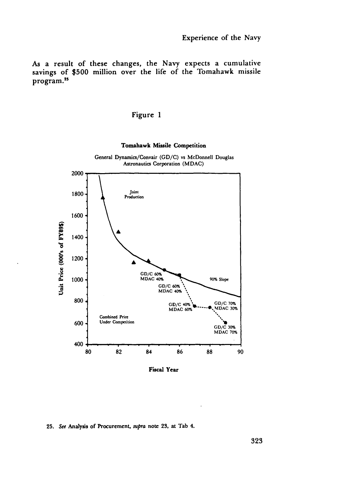As a result of these changes, the Navy expects a cumulative savings of **\$500** million over the life of the Tomahawk missile program.<sup>25</sup>

# Figure **1**



**Fiscal Year**

#### **25.** See **Analysis of** Procurement, supra **note 23. at Tab** 4.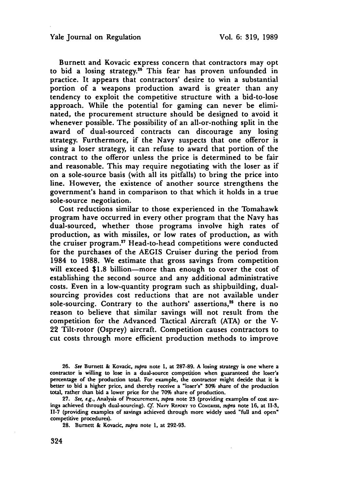Burnett and Kovacic express concern that contractors may opt to bid a losing strategy.<sup>26</sup> This fear has proven unfounded in practice. It appears that contractors' desire to win a substantial portion of a weapons production award is greater than any tendency to exploit the competitive structure with a bid-to-lose approach. While the potential for gaming can never be eliminated, the procurement structure should be designed to avoid it whenever possible. The possibility of an all-or-nothing split in the award of dual-sourced contracts can discourage any losing strategy. Furthermore, if the Navy suspects that one offeror is using a loser strategy, it can refuse to award that portion of the contract to the offeror unless the price is determined to be fair and reasonable. This may require negotiating with the loser as if on a sole-source basis (with all its pitfalls) to bring the price into line. However, the existence of another source strengthens the government's hand in comparison to that which it holds in a true sole-source negotiation.

Cost reductions similar to those experienced in the Tomahawk program have occurred in every other program that the Navy has dual-sourced, whether those programs involve high rates of production, as with missiles, or low rates of production, as with the cruiser program." Head-to-head competitions were conducted for the purchases of the AEGIS Cruiser during the period from 1984 to 1988. We estimate that gross savings from competition will exceed \$1.8 billion-more than enough to cover the cost of establishing the second source and any additional administrative costs. Even in a low-quantity program such as shipbuilding, dualsourcing provides cost reductions that are not available under sole-sourcing. Contrary to the authors' assertions,<sup>28</sup> there is no reason to believe that similar savings will not result from the competition for the Advanced Tactical Aircraft (ATA) or the V-22 Tilt-rotor (Osprey) aircraft. Competition causes contractors to cut costs through more efficient production methods to improve

**28.** Burnett & Kovacic, supra note **1,** at **292-93.**

**<sup>26.</sup> See** Burnett **&** Kovacic, supra note **1,** at **287-89. A** losing strategy is one where a contractor is willing to lose in a dual-source competition when guaranteed the loser's percentage of the production total. For example, the contractor might decide that it is better to bid a higher price, and thereby receive a "loser's" **30%** share of the production total, rather than bid a lower price for the **70%** share of production.

**<sup>27.</sup>** See, e.g., Analysis of Procurement, supra note **23** (providing examples of cost savings achieved through dual-sourcing). Cf. NAVY REPORT TO CONGRESS, supra note 16, at II-3, IH-7 (providing examples of savings achieved through more widely used "full and open" competitive procedures).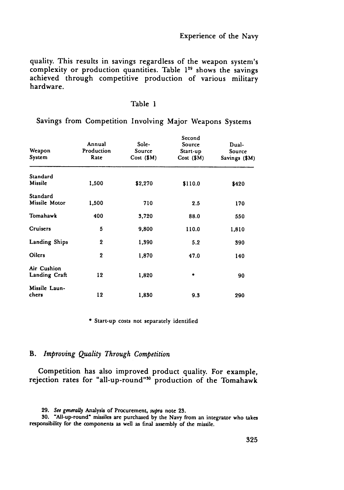quality. This results in savings regardless of the weapon system's complexity or production quantities. Table **1"** shows the savings achieved through competitive production of various military hardware.

| ١١<br>ı<br>Ω<br>۰. |  |
|--------------------|--|
|--------------------|--|

Savings from Competition Involving Major Weapons Systems

| Weapon<br>System             | Annual<br>Production<br>Rate | Sole-<br>Source<br>$Cost ($ \$M $)$ | Second<br>Source<br>$Start-up$<br>Cost (\$M) | Dual-<br>Source<br>Savings (\$M) |
|------------------------------|------------------------------|-------------------------------------|----------------------------------------------|----------------------------------|
| Standard<br>Missile          | 1,500                        | \$2,270                             | \$110.0                                      | \$420                            |
| Standard<br>Missile Motor    | 1,500                        | 710                                 | 2.5                                          | 170                              |
| Tomahawk                     | 400                          | 3,720                               | 88.0                                         | 550                              |
| Cruisers                     | 5                            | 9,800                               | 110.0                                        | 1,810                            |
| Landing Ships                | 2                            | 1,390                               | 5.2                                          | 390                              |
| <b>Oilers</b>                | $\overline{2}$               | 1,870                               | 47.0                                         | 140                              |
| Air Cushion<br>Landing Craft | 12                           | 1,820                               | ۰                                            | 90                               |
| Missile Laun-<br>chers       | 12                           | 1,830                               | 9.3                                          | 290                              |

**0** Start-up costs not separately identified

# B. *Improving Quality Through Competition*

Competition has also improved product quality. For example, rejection rates for "all-up-round"<sup>30</sup> production of the Tomahawk

<sup>29.</sup> See generaUy Analysis of Procurement, supra note **23.**

**<sup>30.</sup>** "All-up-round" missiles are purchased **by** the Navy from an integrator who takes responsibility for the components as well as final assembly of the missile.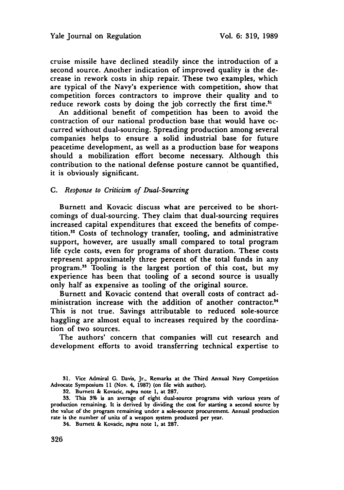cruise missile have declined steadily since the introduction of a second source. Another indication of improved quality is the decrease in rework costs in ship repair. These two examples, which are typical of the Navy's experience with competition, show that competition forces contractors to improve their quality and to reduce rework costs by doing the job correctly the first time.<sup>31</sup>

An additional benefit of competition has been to avoid the contraction of our national production base that would have occurred without dual-sourcing. Spreading production among several companies helps to ensure a solid industrial base for future peacetime development, as well as a production base for weapons should a mobilization effort become necessary. Although this contribution to the national defense posture cannot be quantified, it is obviously significant.

# *C. Response to Criticism of Dual-Sourcing*

Burnett and Kovacic discuss what are perceived to be shortcomings of dual-sourcing. They claim that dual-sourcing requires increased capital expenditures that exceed the benefits of competition.<sup>32</sup> Costs of technology transfer, tooling, and administrative support, however, are usually small compared to total program life cycle costs, even for programs of short duration. These costs represent approximately three percent of the total funds in any program." Tooling is the largest portion of this cost, but my experience has been that tooling of a second source is usually only half as expensive as tooling of the original source.

Burnett and Kovacic contend that overall costs of contract administration increase with the addition of another contractor.<sup>34</sup> This is not true. Savings attributable to reduced sole-source haggling are almost equal to increases required by the coordination of two sources.

The authors' concern that companies will cut research and development efforts to avoid transferring technical expertise to

**31.** Vice Admiral **G.** Davis, Jr., Remarks at the Third Annual Navy Competition Advocate Symposium **11** (Nov. 4. **1987)** (on file with author).

**32.** Burnett **&** Kovacic, supra note **1,** at **287.**

**33.** This **3%** is an average of eight dual-source programs with various years of production remaining. It is derived **by** dividing the cost for starting a second source **by** the value of the program remaining under a sole-source procurement. Annual production rate is the number of units of a weapon system produced per year.

34. Burnett **&** Kovacic, supra note **1,** at **287.**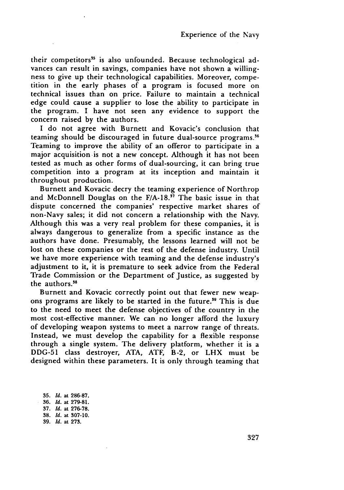their competitors<sup>35</sup> is also unfounded. Because technological advances can result in savings, companies have not shown a willingness to give up their technological capabilities. Moreover, competition in the early phases of a program is focused more on technical issues than on price. Failure to maintain a technical edge could cause a supplier to lose the ability to participate in the program. I have not seen any evidence to support the concern raised by the authors.

I do not agree with Burnett and Kovacic's conclusion that teaming should be discouraged in future dual-source programs **. <sup>6</sup>** Teaming to improve the ability of an offeror to participate in a major acquisition is not a new concept. Although it has not been tested as much as other forms of dual-sourcing, it can bring true competition into a program at its inception and maintain it throughout production.

Burnett and Kovacic decry the teaming experience of Northrop and McDonnell Douglas on the F/A-18." The basic issue in that dispute concerned the companies' respective market shares of non-Navy sales; it did not concern a relationship with the Navy. Although this was a very real problem for these companies, it is always dangerous to generalize from a specific instance as the authors have done. Presumably, the lessons learned will not be lost on these companies or the rest of the defense industry. Until we have more experience with teaming and the defense industry's adjustment to it, it is premature to seek advice from the Federal Trade Commission or the Department of Justice, as suggested by the authors.<sup>38</sup>

Burnett and Kovacic correctly point out that fewer new weapons programs are likely to be started in the future.<sup>39</sup> This is due to the need to meet the defense objectives of the country in the most cost-effective manner. We can no longer afford the luxury of developing weapon systems to meet a narrow range of threats. Instead, we must develop the capability for a flexible response through a single system. The delivery platform, whether it is a DDG-51 class destroyer, ATA, ATF, B-2, or LHX must be designed within these parameters. It is only through teaming that

35. *Id.* at 286-87. 36. *Id.* at 279-81. 37. *Id.* at 276-78. 38. *Id.* at 307-10. 39. *Id.* at 273.

327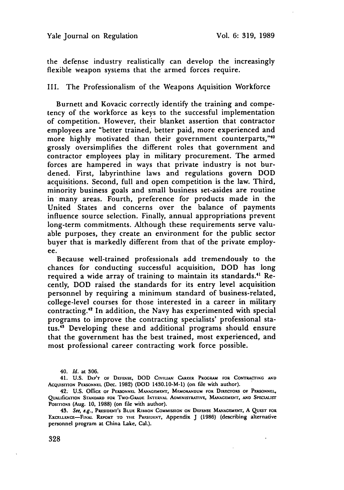the defense industry realistically can develop the increasingly flexible weapon systems that the armed forces require.

III. The Professionalism of the Weapons Aquisition Workforce

Burnett and Kovacic correctly identify the training and competency of the workforce as keys to the successful implementation of competition. However, their blanket assertion that contractor employees are "better trained, better paid, more experienced and more highly motivated than their government counterparts,"40 grossly oversimplifies the different roles that government and contractor employees play in military procurement. The armed forces are hampered in ways that private industry is not burdened. First, labyrinthine laws and regulations govern DOD acquisitions. Second, full and open competition is the law. Third, minority business goals and small business set-asides are routine in many areas. Fourth, preference for products made in the United States and concerns over the balance of payments influence source selection. Finally, annual appropriations prevent long-term commitments. Although these requirements serve valuable purposes, they create an environment for the public sector buyer that is markedly different from that of the private employee.

Because well-trained professionals add tremendously to the chances for conducting successful acquisition, DOD has long required a wide array of training to maintain its standards.<sup>41</sup> Recently, DOD raised the standards for its entry level acquisition personnel by requiring a minimum standard of business-related, college-level courses for those interested in a career in military contracting.<sup>42</sup> In addition, the Navy has experimented with special programs to improve the contracting specialists' professional status.<sup>43</sup> Developing these and additional programs should ensure that the government has the best trained, most experienced, and most professional career contracting work force possible.

41. **U.S. DEP'T OF DEFENSE, DOD** CrvUnA **CARF.R PROGRAM** FOR **CoNrRAcrING AND AcQUISrnON PERSONNEL (Dec. 1982) (DOD** 1430.10-M-1) (on **file** with author).

42. **U.S. OffiCE or PERSONNEL MANAGEMENT, MEMORANDUM FOR DIRECFRoS OF PERSONNEL, QUALIfICATION STANDARD FOR TWO-GRADE INTERVAL ADMINISTRATIVE, MANAGEMENT, AND SPECIALIST POSITIONS** (Aug. **10, 1988)** (on file with author).

**43.** See, e.g., **PRasiDENT's BLUE RIBBON COMMISSION ON DEFENSE** MANAGEMENT, **A QUEST FOR EXC.LLENCE-FINA. REPORT TO THE PRFsIDEtr,** Appendix J (1986) (describing alternative **personnel program at** China Lake, Cal.).

<sup>40.</sup> *Id.* at 306.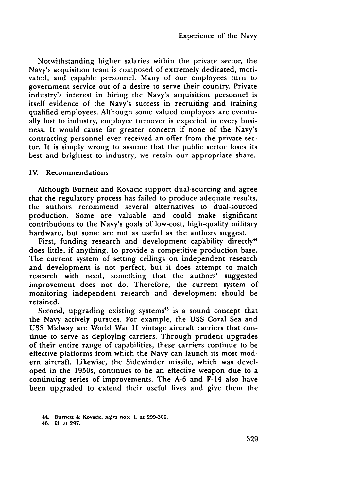Notwithstanding higher salaries within the private sector, the Navy's acquisition team is composed of extremely dedicated, motivated, and capable personnel. Many of our employees turn to government service out of a desire to serve their country. Private industry's interest in hiring the Navy's acquisition personnel is itself evidence of the Navy's success in recruiting and training qualified employees. Although some valued employees are eventually lost to industry, employee turnover is expected in every business. It would cause far greater concern if none of the Navy's contracting personnel ever received an offer from the private sector. It is simply wrong to assume that the public sector loses its best and brightest to industry; we retain our appropriate share.

## IV. Recommendations

Although Burnett and Kovacic support dual-sourcing and agree that the regulatory process has failed to produce adequate results, the authors recommend several alternatives to dual-sourced production. Some are valuable and could make significant contributions to the Navy's goals of low-cost, high-quality military hardware, but some are not as useful as the authors suggest.

First, funding research and development capability directly<sup>44</sup> does little, if anything, to provide a competitive production base. The current system of setting ceilings on independent research and development is not perfect, but it does attempt to match research with need, something that the authors' suggested improvement does not do. Therefore, the current system of monitoring independent research and development should be retained.

Second, upgrading existing systems<sup>45</sup> is a sound concept that the Navy actively pursues. For example, the USS Coral Sea and USS Midway are World War II vintage aircraft carriers that continue to serve as deploying carriers. Through prudent upgrades of their entire range of capabilities, these carriers continue to be effective platforms from which the Navy can launch its most modern aircraft. Likewise, the Sidewinder missile, which was developed in the 1950s, continues to be an effective weapon due to a continuing series of improvements. The A-6 and F-14 also have been upgraded to extend their useful lives and give them the

<sup>44.</sup> Burnett & Kovadc, supra note **1,** at **299-300.**

<sup>45.</sup> *Id.* at **297.**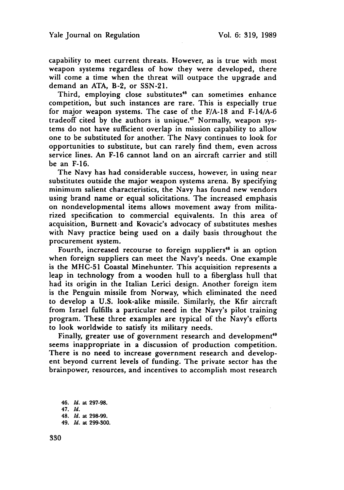capability to meet current threats. However, as is true with most weapon systems regardless of how they were developed, there will come a time when the threat will outpace the upgrade and demand an ATA, B-2, or SSN-21.

Third, employing close substitutes<sup>46</sup> can sometimes enhance competition, but such instances are rare. This is especially true for major weapon systems. The case of the F/A-18 and F-14/A-6 tradeoff cited by the authors is unique.<sup>47</sup> Normally, weapon systems do not have sufficient overlap in mission capability to allow one to be substituted for another. The Navy continues to look for opportunities to substitute, but can rarely find them, even across service lines. An F-16 cannot land on an aircraft carrier and still be an F-16.

The Navy has had considerable success, however, in using near substitutes outside the major weapon systems arena. By specifying minimum salient characteristics, the Navy has found new vendors using brand name or equal solicitations. The increased emphasis on nondevelopmental items allows movement away from militarized specification to commercial equivalents. In this area of acquisition, Burnett-and Kovacic's advocacy of substitutes meshes with Navy practice being used on a daily basis throughout the procurement system.

Fourth, increased recourse to foreign suppliers<sup>48</sup> is an option when foreign suppliers can meet the Navy's needs. One example is the MHC-51 Coastal Minehunter. This acquisition represents a leap in technology from a wooden hull to a fiberglass hull that had its origin in the Italian Lerici design. Another foreign item is the Penguin missile from Norway, which eliminated the need to develop a U.S. look-alike missile. Similarly, the Kfir aircraft from Israel fulfills a particular need in the Navy's pilot training program. These three examples are typical of the Navy's efforts to look worldwide to satisfy its military needs.

Finally, greater use of government research and development<sup>49</sup> seems inappropriate in a discussion of production competition. There is no need to increase government research and developent beyond current levels of funding. The private sector has the brainpower, resources, and incentives to accomplish most research

46. *Id.* at 297-98. 47. *Id.* 48. *Id.* at 298-99. 49. *Id.* at 299-300.